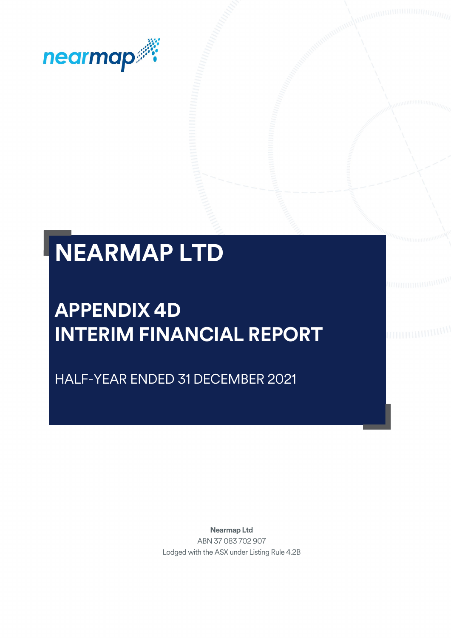

# **NEARMAP LTD**

# **APPENDIX 4D INTERIM FINANCIAL REPORT**

HALF-YEAR ENDED 31 DECEMBER 2021

**Nearmap Ltd** ABN 37 083 702 907 Lodged with the ASX under Listing Rule 4.2B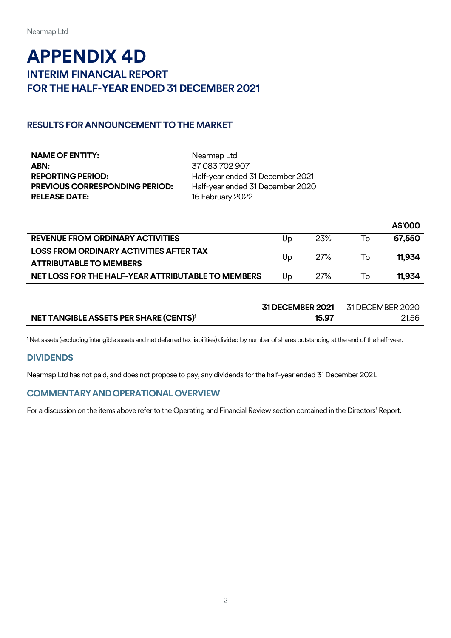## **APPENDIX 4D INTERIM FINANCIAL REPORT FOR THE HALF-YEAR ENDED 31 DECEMBER 2021**

#### **RESULTS FOR ANNOUNCEMENT TO THE MARKET**

| <b>NAME OF ENTITY:</b>                | Nearmap Ltd                      |
|---------------------------------------|----------------------------------|
| ABN:                                  | 37 083 702 907                   |
| REPORTING PERIOD:                     | Half-year ended 31 December 2021 |
| <b>PREVIOUS CORRESPONDING PERIOD:</b> | Half-year ended 31 December 2020 |
| <b>RELEASE DATE:</b>                  | 16 February 2022                 |

|                                                    |    |            |     | A\$'000 |
|----------------------------------------------------|----|------------|-----|---------|
| <b>REVENUE FROM ORDINARY ACTIVITIES</b>            | Up | 23%        | 1o  | 67.550  |
| LOSS FROM ORDINARY ACTIVITIES AFTER TAX            | Up | 27%        | To: | 11.934  |
| <b>ATTRIBUTABLE TO MEMBERS</b>                     |    |            |     |         |
| NET LOSS FOR THE HALF-YEAR ATTRIBUTABLE TO MEMBERS | Up | <b>27%</b> | To  | 11.934  |

|                                                    | <b>31 DECEMBER 2021</b> | 31 DECEMBER 2020 |
|----------------------------------------------------|-------------------------|------------------|
| NET TANGIBLE ASSETS PER SHARE (CENTS) <sup>1</sup> | 15.97                   | 21.56            |

<sup>1</sup>Net assets (excluding intangible assets and net deferred tax liabilities) divided by number of shares outstanding at the end of the half-year.

#### **DIVIDENDS**

Nearmap Ltd has not paid, and does not propose to pay, any dividends for the half-year ended 31 December 2021.

#### **COMMENTARYANDOPERATIONALOVERVIEW**

For a discussion on the items above refer to the Operating and Financial Review section contained in the Directors' Report.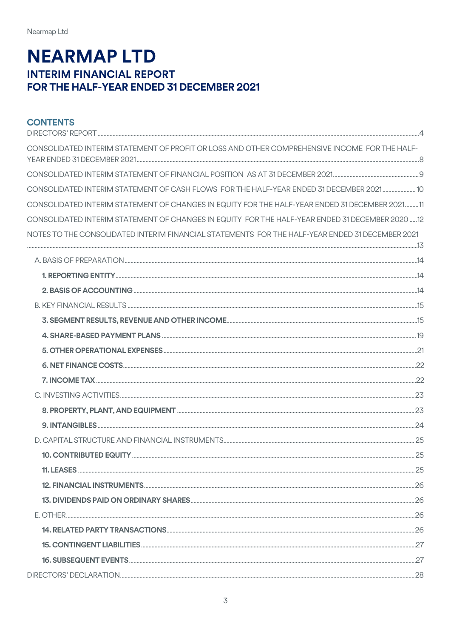## **NEARMAP LTD INTERIM FINANCIAL REPORT** FOR THE HALF-YEAR ENDED 31 DECEMBER 2021

| <b>CONTENTS</b>                                                                                 |  |
|-------------------------------------------------------------------------------------------------|--|
| CONSOLIDATED INTERIM STATEMENT OF PROFIT OR LOSS AND OTHER COMPREHENSIVE INCOME FOR THE HALF-   |  |
|                                                                                                 |  |
| CONSOLIDATED INTERIM STATEMENT OF CASH FLOWS FOR THE HALF-YEAR ENDED 31 DECEMBER 2021 10        |  |
| CONSOLIDATED INTERIM STATEMENT OF CHANGES IN EQUITY FOR THE HALF-YEAR ENDED 31 DECEMBER 202111  |  |
| CONSOLIDATED INTERIM STATEMENT OF CHANGES IN EQUITY FOR THE HALF-YEAR ENDED 31 DECEMBER 2020 12 |  |
| NOTES TO THE CONSOLIDATED INTERIM FINANCIAL STATEMENTS FOR THE HALF-YEAR ENDED 31 DECEMBER 2021 |  |
|                                                                                                 |  |
|                                                                                                 |  |
|                                                                                                 |  |
|                                                                                                 |  |
|                                                                                                 |  |
|                                                                                                 |  |
|                                                                                                 |  |
|                                                                                                 |  |
|                                                                                                 |  |
|                                                                                                 |  |
|                                                                                                 |  |
|                                                                                                 |  |
|                                                                                                 |  |
|                                                                                                 |  |
|                                                                                                 |  |
|                                                                                                 |  |
|                                                                                                 |  |
|                                                                                                 |  |
|                                                                                                 |  |
|                                                                                                 |  |
|                                                                                                 |  |
|                                                                                                 |  |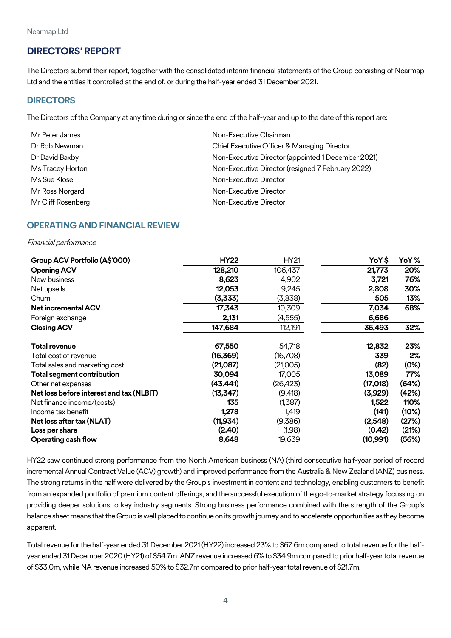#### <span id="page-3-0"></span>**DIRECTORS' REPORT**

The Directors submit their report, together with the consolidated interim financial statements of the Group consisting of Nearmap Ltd and the entities it controlled at the end of, or during the half-year ended 31 December 2021.

#### **DIRECTORS**

The Directors of the Company at any time during or since the end of the half-year and up to the date of this report are:

| Mr Peter James     | Non-Executive Chairman                             |
|--------------------|----------------------------------------------------|
| Dr Rob Newman      | Chief Executive Officer & Managing Director        |
| Dr David Baxby     | Non-Executive Director (appointed 1 December 2021) |
| Ms Tracey Horton   | Non-Executive Director (resigned 7 February 2022)  |
| Ms Sue Klose       | Non-Executive Director                             |
| Mr Ross Norgard    | Non-Executive Director                             |
| Mr Cliff Rosenberg | Non-Executive Director                             |

#### **OPERATING AND FINANCIAL REVIEW**

Financial performance

| Group ACV Portfolio (A\$'000)            | <b>HY22</b> | <b>HY21</b> | YoY\$     | YoY%  |
|------------------------------------------|-------------|-------------|-----------|-------|
| <b>Opening ACV</b>                       | 128,210     | 106,437     | 21,773    | 20%   |
| New business                             | 8,623       | 4,902       | 3,721     | 76%   |
| Net upsells                              | 12,053      | 9,245       | 2,808     | 30%   |
| Churn                                    | (3,333)     | (3,838)     | 505       | 13%   |
| <b>Net incremental ACV</b>               | 17,343      | 10,309      | 7,034     | 68%   |
| Foreign exchange                         | 2,131       | (4, 555)    | 6,686     |       |
| <b>Closing ACV</b>                       | 147,684     | 112,191     | 35,493    | 32%   |
| <b>Total revenue</b>                     | 67,550      | 54,718      | 12,832    | 23%   |
| Total cost of revenue                    | (16,369)    | (16,708)    | 339       | 2%    |
| Total sales and marketing cost           | (21,087)    | (21,005)    | (82)      | (0%)  |
| <b>Total segment contribution</b>        | 30,094      | 17,005      | 13,089    | 77%   |
| Other net expenses                       | (43,441)    | (26,423)    | (17,018)  | (64%) |
| Net loss before interest and tax (NLBIT) | (13, 347)   | (9,418)     | (3,929)   | (42%) |
| Net finance income/(costs)               | 135         | (1,387)     | 1,522     | 110%  |
| Income tax benefit                       | 1,278       | 1,419       | (141)     | (10%) |
| Net loss after tax (NLAT)                | (11,934)    | (9,386)     | (2,548)   | (27%) |
| Loss per share                           | (2.40)      | (1.98)      | (0.42)    | (21%) |
| <b>Operating cash flow</b>               | 8,648       | 19,639      | (10, 991) | (56%) |

HY22 saw continued strong performance from the North American business (NA) (third consecutive half-year period of record incremental Annual Contract Value (ACV) growth) and improved performance from the Australia & New Zealand (ANZ) business. The strong returns in the half were delivered by the Group's investment in content and technology, enabling customers to benefit from an expanded portfolio of premium content offerings, and the successful execution of the go-to-market strategy focussing on providing deeper solutions to key industry segments. Strong business performance combined with the strength of the Group's balance sheet means that the Group is well placed to continue on its growth journey and to accelerate opportunities as they become apparent.

Total revenue for the half-year ended 31 December 2021 (HY22) increased 23% to \$67.6m compared to total revenue for the halfyear ended 31 December 2020(HY21) of \$54.7m. ANZ revenue increased 6% to \$34.9m compared to prior half-year total revenue of \$33.0m, while NA revenue increased 50% to \$32.7m compared to prior half-year total revenue of \$21.7m.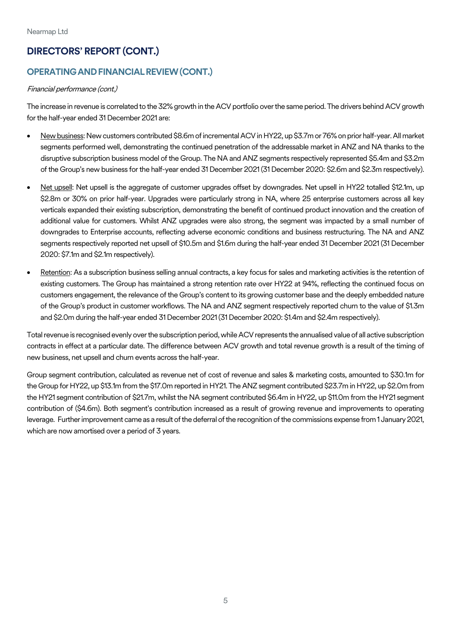## **DIRECTORS' REPORT (CONT.)**

## **OPERATINGANDFINANCIALREVIEW(CONT.)**

#### Financial performance (cont.)

The increase in revenue is correlated to the 32% growth in the ACV portfolio over the same period. The drivers behind ACV growth for the half-year ended 31 December 2021 are:

- New business: New customers contributed \$8.6m of incremental ACV in HY22, up \$3.7m or 76% on prior half-year. All market segments performed well, demonstrating the continued penetration of the addressable market in ANZ and NA thanks to the disruptive subscription business model of the Group. The NA and ANZ segments respectively represented \$5.4m and \$3.2m of the Group's new business for the half-year ended 31 December 2021 (31 December 2020: \$2.6m and \$2.3m respectively).
- Net upsell: Net upsell is the aggregate of customer upgrades offset by downgrades. Net upsell in HY22 totalled \$12.1m, up \$2.8m or 30% on prior half-year. Upgrades were particularly strong in NA, where 25 enterprise customers across all key verticals expanded their existing subscription, demonstrating the benefit of continued product innovation and the creation of additional value for customers. Whilst ANZ upgrades were also strong, the segment was impacted by a small number of downgrades to Enterprise accounts, reflecting adverse economic conditions and business restructuring. The NA and ANZ segments respectively reported net upsell of \$10.5m and \$1.6m during the half-year ended 31 December 2021 (31 December 2020: \$7.1m and \$2.1m respectively).
- Retention: As a subscription business selling annual contracts, a key focus for sales and marketing activities is the retention of existing customers. The Group has maintained a strong retention rate over HY22 at 94%, reflecting the continued focus on customers engagement, the relevance of the Group's content to its growing customer base and the deeply embedded nature of the Group's product in customer workflows. The NA and ANZ segment respectively reported churn to the value of \$1.3m and \$2.0m during the half-year ended 31 December 2021 (31 December 2020: \$1.4m and \$2.4m respectively).

Total revenue is recognised evenly over the subscription period, while ACV represents the annualised value of all active subscription contracts in effect at a particular date. The difference between ACV growth and total revenue growth is a result of the timing of new business, net upsell and churn events across the half-year.

Group segment contribution, calculated as revenue net of cost of revenue and sales & marketing costs, amounted to \$30.1m for the Group for HY22, up \$13.1m from the \$17.0m reported in HY21. The ANZ segment contributed \$23.7m in HY22, up \$2.0m from the HY21 segment contribution of \$21.7m, whilst the NA segment contributed \$6.4m in HY22, up \$11.0m from the HY21 segment contribution of (\$4.6m). Both segment's contribution increased as a result of growing revenue and improvements to operating leverage. Further improvement came as a result of the deferral of the recognition of the commissions expense from 1 January 2021, which are now amortised over a period of 3 years.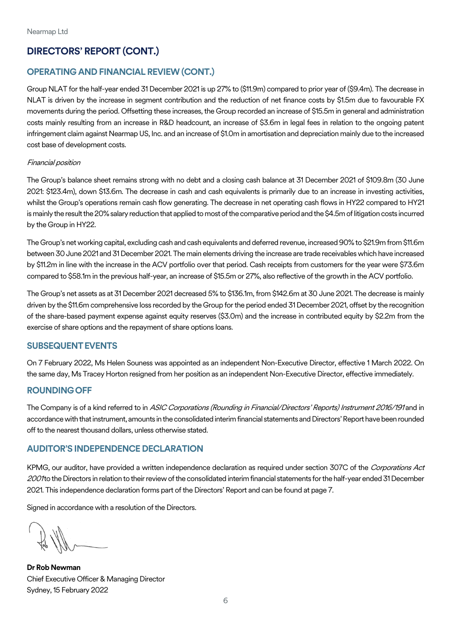## **DIRECTORS' REPORT (CONT.)**

#### **OPERATING AND FINANCIAL REVIEW (CONT.)**

Group NLAT for the half-year ended 31 December 2021 is up 27% to (\$11.9m) compared to prior year of (\$9.4m). The decrease in NLAT is driven by the increase in segment contribution and the reduction of net finance costs by \$1.5m due to favourable FX movements during the period. Offsetting these increases, the Group recorded an increase of \$15.5m in general and administration costs mainly resulting from an increase in R&D headcount, an increase of \$3.6m in legal fees in relation to the ongoing patent infringement claim against Nearmap US, Inc. and an increase of \$1.0m in amortisation and depreciation mainly due to the increased cost base of development costs.

#### Financial position

The Group's balance sheet remains strong with no debt and a closing cash balance at 31 December 2021 of \$109.8m (30 June 2021: \$123.4m), down \$13.6m. The decrease in cash and cash equivalents is primarily due to an increase in investing activities, whilst the Group's operations remain cash flow generating. The decrease in net operating cash flows in HY22 compared to HY21 is mainly the result the 20% salary reduction that applied to most of the comparative period and the \$4.5m oflitigation costs incurred by the Group in HY22.

The Group's net working capital, excluding cash and cash equivalents and deferred revenue, increased 90% to \$21.9m from \$11.6m between 30 June 2021 and 31 December 2021. The main elements driving the increase are trade receivables which have increased by \$11.2m in line with the increase in the ACV portfolio over that period. Cash receipts from customers for the year were \$73.6m compared to \$58.1m in the previous half-year, an increase of \$15.5m or 27%, also reflective of the growth in the ACV portfolio.

The Group's net assets as at 31 December 2021 decreased 5% to \$136.1m, from \$142.6m at 30 June 2021. The decrease is mainly driven by the \$11.6m comprehensive loss recorded by the Group for the period ended 31 December 2021, offset by the recognition of the share-based payment expense against equity reserves (\$3.0m) and the increase in contributed equity by \$2.2m from the exercise of share options and the repayment of share options loans.

#### **SUBSEQUENTEVENTS**

On 7 February 2022, Ms Helen Souness was appointed as an independent Non-Executive Director, effective 1 March 2022. On the same day, Ms Tracey Horton resigned from her position as an independent Non-Executive Director, effective immediately.

#### **ROUNDINGOFF**

The Company is of a kind referred to in ASIC Corporations (Rounding in Financial/Directors' Reports) Instrument 2016/191 and in accordance with that instrument, amounts in the consolidated interim financial statements and Directors' Report have been rounded off to the nearest thousand dollars, unless otherwise stated.

#### **AUDITOR'S INDEPENDENCE DECLARATION**

KPMG, our auditor, have provided a written independence declaration as required under section 307C of the Corporations Act 2001 to the Directors in relation to their review of the consolidated interim financial statements for the half-year ended 31 December 2021. This independence declaration forms part of the Directors' Report and can be found at page 7.

Signed in accordance with a resolution of the Directors.

**Dr Rob Newman** Chief Executive Officer & Managing Director Sydney, 15 February 2022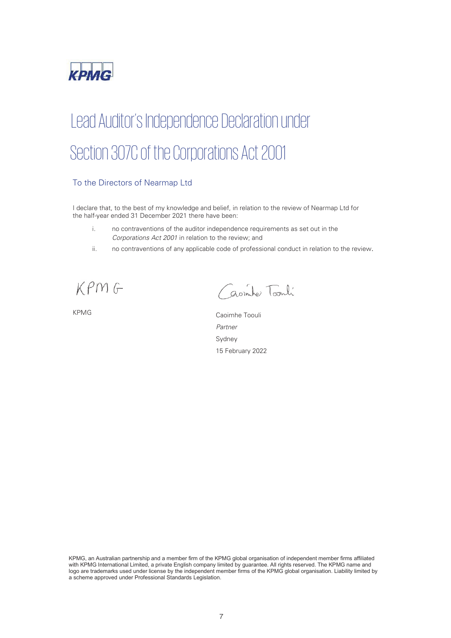

# Lead Auditor's Independence Declaration under Section 307C of the Corporations Act 2001

#### To the Directors of Nearmap Ltd

I declare that, to the best of my knowledge and belief, in relation to the review of Nearmap Ltd for the half-year ended 31 December 2021 there have been:

- i. no contraventions of the auditor independence requirements as set out in the *Corporations Act 2001* in relation to the review; and
- ii. no contraventions of any applicable code of professional conduct in relation to the review.

KPMG

Casimber Toonli

KPMG Caoimhe Toouli *Partner*  Sydney 15 February 2022

KPMG, an Australian partnership and a member firm of the KPMG global organisation of independent member firms affiliated with KPMG International Limited, a private English company limited by guarantee. All rights reserved. The KPMG name and logo are trademarks used under license by the independent member firms of the KPMG global organisation. Liability limited by a scheme approved under Professional Standards Legislation.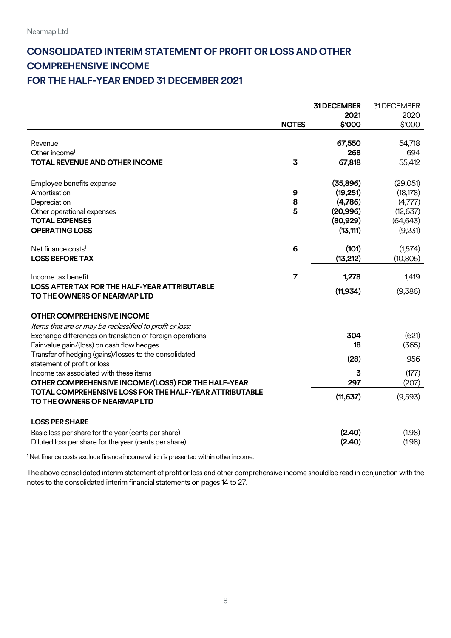## <span id="page-7-0"></span>**CONSOLIDATED INTERIM STATEMENT OF PROFIT OR LOSS AND OTHER COMPREHENSIVE INCOME FOR THE HALF-YEAR ENDED 31 DECEMBER 2021**

|                                                                       |                | <b>31 DECEMBER</b> | 31 DECEMBER         |
|-----------------------------------------------------------------------|----------------|--------------------|---------------------|
|                                                                       |                | 2021               | 2020                |
|                                                                       | <b>NOTES</b>   | \$'000             | \$'000              |
|                                                                       |                |                    |                     |
| Revenue                                                               |                | 67,550             | 54,718              |
| Other income <sup>1</sup>                                             |                | 268                | 694                 |
| <b>TOTAL REVENUE AND OTHER INCOME</b>                                 | 3              | 67,818             | $\overline{5}5,412$ |
|                                                                       |                |                    |                     |
| Employee benefits expense                                             |                | (35,896)           | (29,051)            |
| Amortisation                                                          | 9              | (19, 251)          | (18, 178)           |
| Depreciation                                                          | 8              | (4,786)            | (4,777)             |
| Other operational expenses                                            | 5              | (20, 996)          | (12, 637)           |
| <b>TOTAL EXPENSES</b>                                                 |                | (80, 929)          | (64, 643)           |
| <b>OPERATING LOSS</b>                                                 |                | (13, 111)          | (9,231)             |
|                                                                       |                |                    |                     |
| Net finance costs <sup>1</sup>                                        | 6              | (101)              | (1,574)             |
| <b>LOSS BEFORE TAX</b>                                                |                | (13, 212)          | (10, 805)           |
|                                                                       |                |                    |                     |
| Income tax benefit                                                    | $\overline{7}$ | 1,278              | 1,419               |
| LOSS AFTER TAX FOR THE HALF-YEAR ATTRIBUTABLE                         |                | (11, 934)          | (9,386)             |
| TO THE OWNERS OF NEARMAP LTD                                          |                |                    |                     |
|                                                                       |                |                    |                     |
| <b>OTHER COMPREHENSIVE INCOME</b>                                     |                |                    |                     |
| Items that are or may be reclassified to profit or loss:              |                |                    |                     |
| Exchange differences on translation of foreign operations             |                | 304                | (621)               |
| Fair value gain/(loss) on cash flow hedges                            |                | 18                 | (365)               |
| Transfer of hedging (gains)/losses to the consolidated                |                | (28)               | 956                 |
| statement of profit or loss<br>Income tax associated with these items |                | 3                  | (177)               |
| OTHER COMPREHENSIVE INCOME/(LOSS) FOR THE HALF-YEAR                   |                | 297                | (207)               |
| <b>TOTAL COMPREHENSIVE LOSS FOR THE HALF-YEAR ATTRIBUTABLE</b>        |                |                    |                     |
| TO THE OWNERS OF NEARMAP LTD                                          |                | (11, 637)          | (9,593)             |
|                                                                       |                |                    |                     |
| <b>LOSS PER SHARE</b>                                                 |                |                    |                     |
| Basic loss per share for the year (cents per share)                   |                | (2.40)             | (1.98)              |
| Diluted loss per share for the year (cents per share)                 |                | (2.40)             | (1.98)              |
|                                                                       |                |                    |                     |

<sup>1</sup> Net finance costs exclude finance income which is presented within other income.

The above consolidated interim statement of profit or loss and other comprehensive income should be read in conjunction with the notes to the consolidated interim financial statements on pages 14 to 27.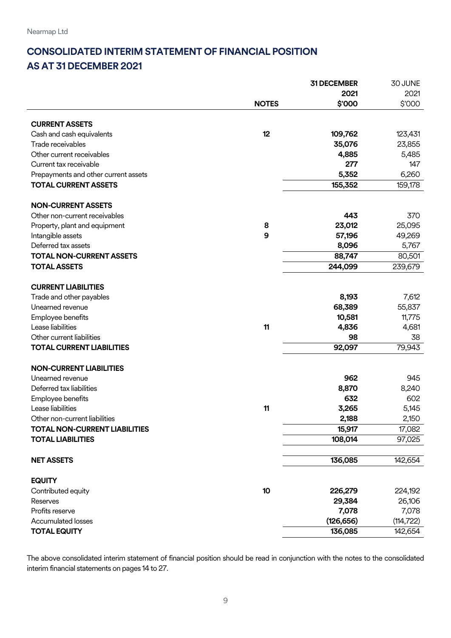## <span id="page-8-0"></span>**CONSOLIDATED INTERIM STATEMENT OF FINANCIAL POSITION AS AT 31 DECEMBER 2021**

|                                      |              | 31 DECEMBER | 30 JUNE    |
|--------------------------------------|--------------|-------------|------------|
|                                      |              | 2021        | 2021       |
|                                      | <b>NOTES</b> | \$'000      | \$'000     |
| <b>CURRENT ASSETS</b>                |              |             |            |
| Cash and cash equivalents            | 12           | 109,762     | 123,431    |
| Trade receivables                    |              | 35,076      | 23,855     |
| Other current receivables            |              | 4,885       | 5,485      |
| Current tax receivable               |              | 277         | 147        |
| Prepayments and other current assets |              | 5,352       | 6,260      |
| <b>TOTAL CURRENT ASSETS</b>          |              | 155,352     | 159,178    |
|                                      |              |             |            |
| <b>NON-CURRENT ASSETS</b>            |              |             |            |
| Other non-current receivables        |              | 443         | 370        |
| Property, plant and equipment        | 8            | 23,012      | 25,095     |
| Intangible assets                    | 9            | 57,196      | 49,269     |
| Deferred tax assets                  |              | 8,096       | 5,767      |
| <b>TOTAL NON-CURRENT ASSETS</b>      |              | 88,747      | 80,501     |
| <b>TOTAL ASSETS</b>                  |              | 244,099     | 239,679    |
|                                      |              |             |            |
| <b>CURRENT LIABILITIES</b>           |              |             |            |
| Trade and other payables             |              | 8,193       | 7,612      |
| Unearned revenue                     |              | 68,389      | 55,837     |
| Employee benefits                    |              | 10,581      | 11,775     |
| Lease liabilities                    | 11           | 4,836       | 4,681      |
| Other current liabilities            |              | 98          | 38         |
| <b>TOTAL CURRENT LIABILITIES</b>     |              | 92,097      | 79,943     |
| <b>NON-CURRENT LIABILITIES</b>       |              |             |            |
| Unearned revenue                     |              | 962         | 945        |
| Deferred tax liabilities             |              | 8,870       | 8,240      |
| Employee benefits                    |              | 632         | 602        |
| Lease liabilities                    | 11           | 3,265       | 5,145      |
| Other non-current liabilities        |              | 2,188       | 2,150      |
| <b>TOTAL NON-CURRENT LIABILITIES</b> |              | 15,917      | 17,082     |
| <b>TOTAL LIABILITIES</b>             |              | 108,014     | 97,025     |
|                                      |              |             |            |
| <b>NET ASSETS</b>                    |              | 136,085     | 142,654    |
|                                      |              |             |            |
| <b>EQUITY</b>                        |              |             |            |
| Contributed equity                   | 10           | 226,279     | 224,192    |
| Reserves                             |              | 29,384      | 26,106     |
| Profits reserve                      |              | 7,078       | 7,078      |
| <b>Accumulated losses</b>            |              | (126, 656)  | (114, 722) |
| <b>TOTAL EQUITY</b>                  |              | 136,085     | 142,654    |

The above consolidated interim statement of financial position should be read in conjunction with the notes to the consolidated interim financial statements on pages 14 to 27.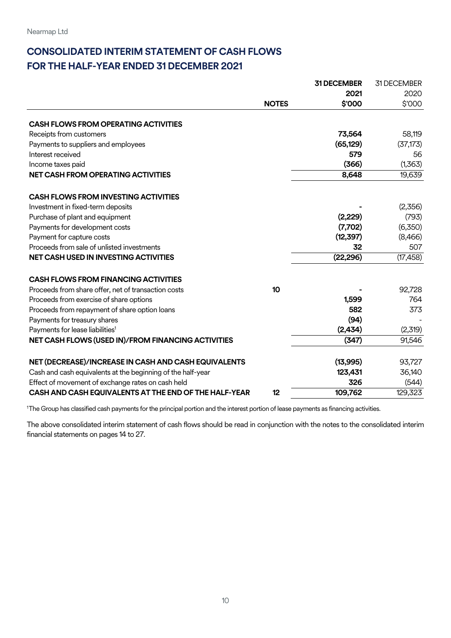## <span id="page-9-0"></span>**CONSOLIDATED INTERIM STATEMENT OF CASH FLOWS FOR THE HALF-YEAR ENDED 31 DECEMBER 2021**

|                                                             |              | 31 DECEMBER | 31 DECEMBER |
|-------------------------------------------------------------|--------------|-------------|-------------|
|                                                             |              | 2021        | 2020        |
|                                                             | <b>NOTES</b> | \$'000      | \$'000      |
| <b>CASH FLOWS FROM OPERATING ACTIVITIES</b>                 |              |             |             |
| Receipts from customers                                     |              | 73,564      | 58,119      |
| Payments to suppliers and employees                         |              | (65, 129)   | (37, 173)   |
| Interest received                                           |              | 579         | 56          |
| Income taxes paid                                           |              | (366)       | (1,363)     |
| <b>NET CASH FROM OPERATING ACTIVITIES</b>                   |              | 8,648       | 19,639      |
| <b>CASH FLOWS FROM INVESTING ACTIVITIES</b>                 |              |             |             |
| Investment in fixed-term deposits                           |              |             | (2,356)     |
| Purchase of plant and equipment                             |              | (2,229)     | (793)       |
| Payments for development costs                              |              | (7,702)     | (6,350)     |
| Payment for capture costs                                   |              | (12, 397)   | (8,466)     |
| Proceeds from sale of unlisted investments                  |              | 32          | 507         |
| <b>NET CASH USED IN INVESTING ACTIVITIES</b>                |              | (22, 296)   | (17, 458)   |
| <b>CASH FLOWS FROM FINANCING ACTIVITIES</b>                 |              |             |             |
| Proceeds from share offer, net of transaction costs         | 10           |             | 92,728      |
| Proceeds from exercise of share options                     |              | 1,599       | 764         |
| Proceeds from repayment of share option loans               |              | 582         | 373         |
| Payments for treasury shares                                |              | (94)        |             |
| Payments for lease liabilities <sup>1</sup>                 |              | (2,434)     | (2,319)     |
| NET CASH FLOWS (USED IN)/FROM FINANCING ACTIVITIES          |              | (347)       | 91,546      |
| NET (DECREASE)/INCREASE IN CASH AND CASH EQUIVALENTS        |              | (13,995)    | 93,727      |
| Cash and cash equivalents at the beginning of the half-year |              | 123,431     | 36,140      |
| Effect of movement of exchange rates on cash held           |              | 326         | (544)       |
| CASH AND CASH EQUIVALENTS AT THE END OF THE HALF-YEAR       | 12           | 109,762     | 129,323     |

<sup>1</sup>The Group has classified cash payments for the principal portion and the interest portion of lease payments as financing activities.

The above consolidated interim statement of cash flows should be read in conjunction with the notes to the consolidated interim financial statements on pages 14 to 27.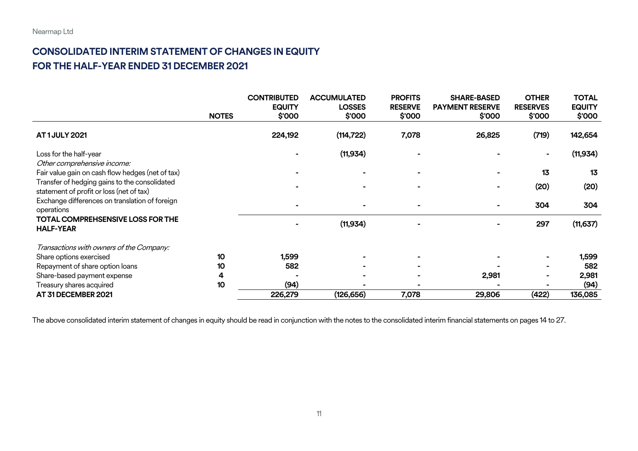## **CONSOLIDATED INTERIM STATEMENT OF CHANGES IN EQUITY FOR THE HALF-YEAR ENDED 31 DECEMBER 2021**

|                                                              |              | <b>CONTRIBUTED</b> | <b>ACCUMULATED</b> | <b>PROFITS</b> | <b>SHARE-BASED</b>     | <b>OTHER</b>    | <b>TOTAL</b>  |
|--------------------------------------------------------------|--------------|--------------------|--------------------|----------------|------------------------|-----------------|---------------|
|                                                              |              | <b>EQUITY</b>      | <b>LOSSES</b>      | <b>RESERVE</b> | <b>PAYMENT RESERVE</b> | <b>RESERVES</b> | <b>EQUITY</b> |
|                                                              | <b>NOTES</b> | \$000              | \$'000             | \$'000         | \$'000                 | \$000           | \$'000        |
| <b>AT1JULY 2021</b>                                          |              | 224,192            | (114, 722)         | 7,078          | 26,825                 | (719)           | 142,654       |
| Loss for the half-year                                       |              |                    | (11, 934)          |                |                        | $\blacksquare$  | (11, 934)     |
| Other comprehensive income:                                  |              |                    |                    |                |                        |                 |               |
| Fair value gain on cash flow hedges (net of tax)             |              |                    |                    |                |                        | 13              | 13            |
| Transfer of hedging gains to the consolidated                |              |                    |                    |                |                        | (20)            | (20)          |
| statement of profit or loss (net of tax)                     |              |                    |                    |                |                        |                 |               |
| Exchange differences on translation of foreign<br>operations |              |                    |                    |                | $\blacksquare$         | 304             | 304           |
| <b>TOTAL COMPREHSENSIVE LOSS FOR THE</b><br><b>HALF-YEAR</b> |              |                    | (11, 934)          |                |                        | 297             | (11, 637)     |
| Transactions with owners of the Company:                     |              |                    |                    |                |                        |                 |               |
| Share options exercised                                      | 10           | 1,599              |                    |                |                        |                 | 1,599         |
| Repayment of share option loans                              | 10           | 582                |                    |                |                        |                 | 582           |
| Share-based payment expense                                  | 4            |                    |                    |                | 2,981                  |                 | 2,981         |
| Treasury shares acquired                                     | 10           | (94)               |                    |                |                        |                 | (94)          |
| AT 31 DECEMBER 2021                                          |              | 226,279            | (126, 656)         | 7,078          | 29,806                 | (422)           | 136,085       |

<span id="page-10-0"></span>The above consolidated interim statement of changes in equity should be read in conjunction with the notes to the consolidated interim financial statements on pages 14 to 27.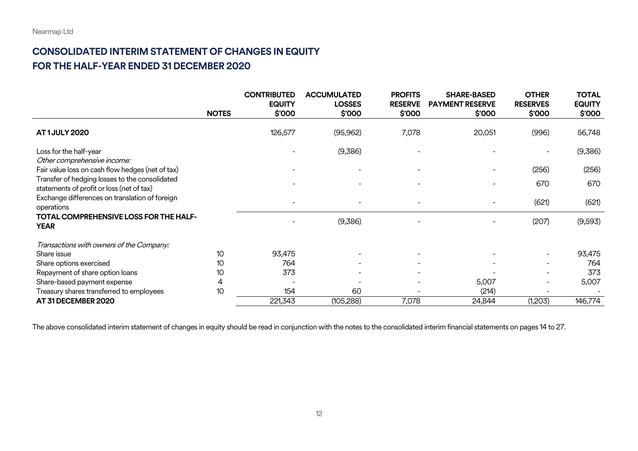## **CONSOLIDATED INTERIM STATEMENT OF CHANGES IN EQUITY FOR THE HALF-YEAR ENDED 31 DECEMBER 2020**

|                                                                                             |              | <b>CONTRIBUTED</b>      | <b>ACCUMULATED</b>      | <b>PROFITS</b>          | <b>SHARE-BASED</b>               | <b>OTHER</b>              | <b>TOTAL</b>            |
|---------------------------------------------------------------------------------------------|--------------|-------------------------|-------------------------|-------------------------|----------------------------------|---------------------------|-------------------------|
|                                                                                             | <b>NOTES</b> | <b>EQUITY</b><br>\$'000 | <b>LOSSES</b><br>\$'000 | <b>RESERVE</b><br>\$000 | <b>PAYMENT RESERVE</b><br>\$'000 | <b>RESERVES</b><br>\$'000 | <b>EQUITY</b><br>\$'000 |
| <b>AT1JULY 2020</b>                                                                         |              | 126,577                 | (95, 962)               | 7,078                   | 20,051                           | (996)                     | 56,748                  |
| Loss for the half-year<br>Other comprehensive income:                                       |              |                         | (9,386)                 |                         |                                  |                           | (9,386)                 |
| Fair value loss on cash flow hedges (net of tax)                                            |              |                         |                         |                         |                                  | (256)                     | (256)                   |
| Transfer of hedging losses to the consolidated<br>statements of profit or loss (net of tax) |              |                         |                         |                         |                                  | 670                       | 670                     |
| Exchange differences on translation of foreign<br>operations                                |              |                         |                         |                         |                                  | (621)                     | (621)                   |
| <b>TOTAL COMPREHENSIVE LOSS FOR THE HALF-</b><br><b>YEAR</b>                                |              |                         | (9,386)                 |                         |                                  | (207)                     | (9,593)                 |
| Transactions with owners of the Company:                                                    |              |                         |                         |                         |                                  |                           |                         |
| Share issue                                                                                 | 10           | 93,475                  |                         |                         |                                  |                           | 93,475                  |
| Share options exercised                                                                     | 10           | 764                     |                         |                         |                                  |                           | 764                     |
| Repayment of share option loans                                                             | 10           | 373                     |                         |                         |                                  |                           | 373                     |
| Share-based payment expense                                                                 | 4            |                         |                         |                         | 5,007                            |                           | 5,007                   |
| Treasury shares transferred to employees                                                    | 10           | 154                     | 60                      |                         | (214)                            |                           |                         |
| AT 31 DECEMBER 2020                                                                         |              | 221,343                 | (105, 288)              | 7,078                   | 24,844                           | (1,203)                   | 146,774                 |

<span id="page-11-0"></span>The above consolidated interim statement of changes in equity should be read in conjunction with the notes to the consolidated interim financial statements on pages 14 to 27.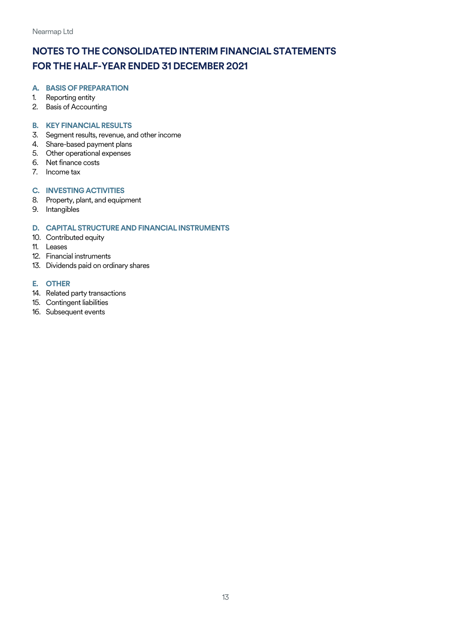#### <span id="page-12-0"></span>**A. BASIS OF PREPARATION**

- 1. Reporting entity
- 2. Basis of Accounting

#### **B. KEY FINANCIAL RESULTS**

- 3. Segment results, revenue, and other income
- 4. Share-based payment plans
- 5. Other operational expenses
- 6. Net finance costs
- 7. Income tax

#### **C. INVESTING ACTIVITIES**

- 8. Property, plant, and equipment
- 9. Intangibles

#### **D. CAPITAL STRUCTURE AND FINANCIAL INSTRUMENTS**

- 10. Contributed equity
- 11. Leases
- 12. Financial instruments
- 13. Dividends paid on ordinary shares

#### **E. OTHER**

- 14. Related party transactions
- 15. Contingent liabilities
- 16. Subsequent events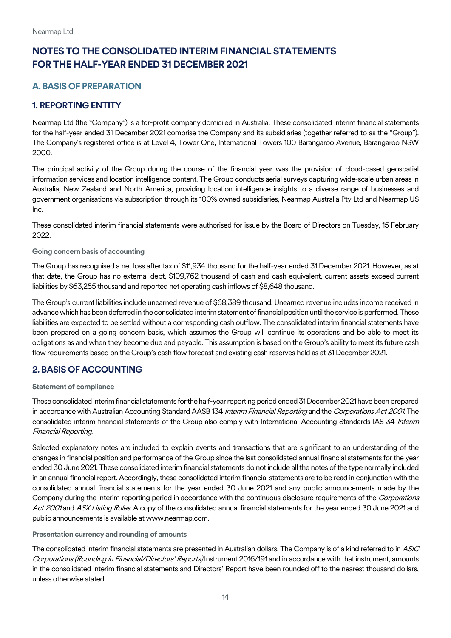## <span id="page-13-0"></span>**A. BASIS OF PREPARATION**

### <span id="page-13-1"></span>**1. REPORTING ENTITY**

Nearmap Ltd (the "Company") is a for-profit company domiciled in Australia. These consolidated interim financial statements for the half-year ended 31 December 2021 comprise the Company and its subsidiaries (together referred to as the "Group"). The Company's registered office is at Level 4, Tower One, International Towers 100 Barangaroo Avenue, Barangaroo NSW 2000.

The principal activity of the Group during the course of the financial year was the provision of cloud-based geospatial information services and location intelligence content. The Group conducts aerial surveys capturing wide-scale urban areas in Australia, New Zealand and North America, providing location intelligence insights to a diverse range of businesses and government organisations via subscription through its 100% owned subsidiaries, Nearmap Australia Pty Ltd and Nearmap US Inc.

These consolidated interim financial statements were authorised for issue by the Board of Directors on Tuesday, 15 February 2022.

#### **Going concern basis of accounting**

The Group has recognised a net loss after tax of \$11,934 thousand for the half-year ended 31 December 2021. However, as at that date, the Group has no external debt, \$109,762 thousand of cash and cash equivalent, current assets exceed current liabilities by \$63,255 thousand and reported net operating cash inflows of \$8,648 thousand.

The Group's current liabilities include unearned revenue of \$68,389 thousand. Unearned revenue includes income received in advance which has been deferred in the consolidated interim statement of financial position until the service is performed. These liabilities are expected to be settled without a corresponding cash outflow. The consolidated interim financial statements have been prepared on a going concern basis, which assumes the Group will continue its operations and be able to meet its obligations as and when they become due and payable. This assumption is based on the Group's ability to meet its future cash flow requirements based on the Group's cash flow forecast and existing cash reserves held as at 31 December 2021.

#### <span id="page-13-2"></span>**2. BASIS OF ACCOUNTING**

#### **Statement of compliance**

These consolidated interim financial statements for the half-year reporting period ended 31 December 2021 have been prepared in accordance with Australian Accounting Standard AASB 134 Interim Financial Reporting and the Corporations Act 2001. The consolidated interim financial statements of the Group also comply with International Accounting Standards IAS 34 Interim Financial Reporting.

Selected explanatory notes are included to explain events and transactions that are significant to an understanding of the changes in financial position and performance of the Group since the last consolidated annual financial statements for the year ended 30 June 2021. These consolidated interim financial statements do not include all the notes of the type normally included in an annual financial report. Accordingly, these consolidated interim financial statements are to be read in conjunction with the consolidated annual financial statements for the year ended 30 June 2021 and any public announcements made by the Company during the interim reporting period in accordance with the continuous disclosure requirements of the Corporations Act 2001 and ASX Listing Rules. A copy of the consolidated annual financial statements for the year ended 30 June 2021 and public announcements is available at www.nearmap.com.

#### **Presentation currency and rounding of amounts**

The consolidated interim financial statements are presented in Australian dollars. The Company is of a kind referred to in ASIC Corporations (Rounding in Financial/Directors' Reports) Instrument 2016/191 and in accordance with that instrument, amounts in the consolidated interim financial statements and Directors' Report have been rounded off to the nearest thousand dollars, unless otherwise stated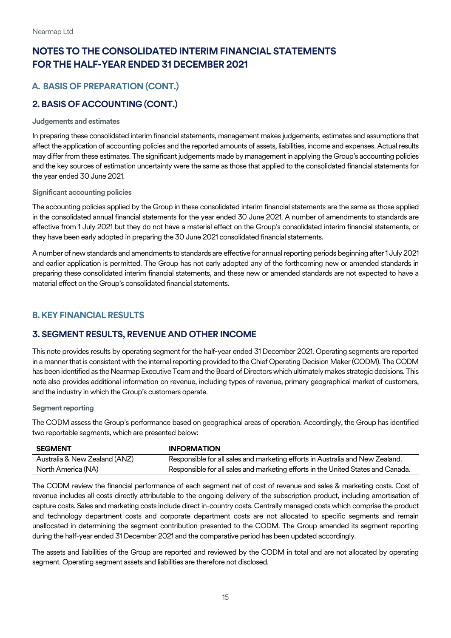## **A. BASIS OF PREPARATION (CONT.)**

## **2. BASIS OF ACCOUNTING (CONT.)**

#### **Judgements and estimates**

In preparing these consolidated interim financial statements, management makes judgements, estimates and assumptions that affect the application of accounting policies and the reported amounts of assets, liabilities, income and expenses. Actual results may differ from these estimates. The significant judgements made by management in applying the Group's accounting policies and the key sources of estimation uncertainty were the same as those that applied to the consolidated financial statements for the year ended 30 June 2021.

#### **Significant accounting policies**

The accounting policies applied by the Group in these consolidated interim financial statements are the same as those applied in the consolidated annual financial statements for the year ended 30 June 2021. A number of amendments to standards are effective from 1 July 2021 but they do not have a material effect on the Group's consolidated interim financial statements, or they have been early adopted in preparing the 30 June 2021 consolidated financial statements.

A number of new standards and amendments to standards are effective for annual reporting periods beginning after 1 July 2021 and earlier application is permitted. The Group has not early adopted any of the forthcoming new or amended standards in preparing these consolidated interim financial statements, and these new or amended standards are not expected to have a material effect on the Group's consolidated financial statements.

#### <span id="page-14-0"></span>**B.KEY FINANCIAL RESULTS**

## <span id="page-14-1"></span>**3. SEGMENT RESULTS, REVENUE AND OTHER INCOME**

This note provides results by operating segment for the half-year ended 31 December 2021. Operating segments are reported in a manner that is consistent with the internal reporting provided to the Chief Operating Decision Maker (CODM). The CODM has been identified as the Nearmap Executive Team and the Board of Directors which ultimately makes strategic decisions. This note also provides additional information on revenue, including types of revenue, primary geographical market of customers, and the industry in which the Group's customers operate.

#### **Segment reporting**

The CODM assess the Group's performance based on geographical areas of operation. Accordingly, the Group has identified two reportable segments, which are presented below:

| <b>SEGMENT</b>                | <b>INFORMATION</b>                                                               |
|-------------------------------|----------------------------------------------------------------------------------|
| Australia & New Zealand (ANZ) | Responsible for all sales and marketing efforts in Australia and New Zealand.    |
| North America (NA)            | Responsible for all sales and marketing efforts in the United States and Canada. |

The CODM review the financial performance of each segment net of cost of revenue and sales & marketing costs. Cost of revenue includes all costs directly attributable to the ongoing delivery of the subscription product, including amortisation of capture costs. Sales and marketing costs include direct in-country costs. Centrally managed costs which comprise the product and technology department costs and corporate department costs are not allocated to specific segments and remain unallocated in determining the segment contribution presented to the CODM. The Group amended its segment reporting during the half-year ended 31 December 2021 and the comparative period has been updated accordingly.

The assets and liabilities of the Group are reported and reviewed by the CODM in total and are not allocated by operating segment. Operating segment assets and liabilities are therefore not disclosed.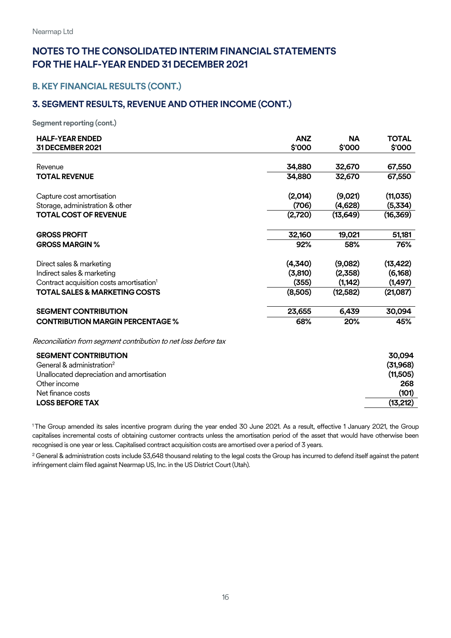## **NOTES TO THE CONSOLIDATED INTERIM FINANCIAL STATEMENTS FOR THE HALF-YEAR ENDED 31 DECEMBER 2021**

### **B.KEY FINANCIAL RESULTS (CONT.)**

#### **3. SEGMENT RESULTS, REVENUE AND OTHER INCOME (CONT.)**

**Segment reporting (cont.)**

| <b>HALF-YEAR ENDED</b>                                          | <b>ANZ</b> | <b>NA</b> | <b>TOTAL</b> |
|-----------------------------------------------------------------|------------|-----------|--------------|
| 31 DECEMBER 2021                                                | \$'000     | \$'000    | \$'000       |
|                                                                 |            |           |              |
| Revenue                                                         | 34,880     | 32,670    | 67,550       |
| <b>TOTAL REVENUE</b>                                            | 34,880     | 32,670    | 67,550       |
| Capture cost amortisation                                       | (2,014)    | (9,021)   | (11, 035)    |
| Storage, administration & other                                 | (706)      | (4,628)   | (5,334)      |
| <b>TOTAL COST OF REVENUE</b>                                    | (2,720)    | (13, 649) | (16, 369)    |
| <b>GROSS PROFIT</b>                                             | 32,160     | 19,021    | 51,181       |
| <b>GROSS MARGIN %</b>                                           | 92%        | 58%       | 76%          |
| Direct sales & marketing                                        | (4,340)    | (9,082)   | (13, 422)    |
| Indirect sales & marketing                                      | (3,810)    | (2,358)   | (6, 168)     |
| Contract acquisition costs amortisation <sup>1</sup>            | (355)      | (1, 142)  | (1, 497)     |
| <b>TOTAL SALES &amp; MARKETING COSTS</b>                        | (8,505)    | (12, 582) | (21,087)     |
| <b>SEGMENT CONTRIBUTION</b>                                     | 23,655     | 6,439     | 30,094       |
| <b>CONTRIBUTION MARGIN PERCENTAGE %</b>                         | 68%        | 20%       | 45%          |
| Reconciliation from segment contribution to net loss before tax |            |           |              |
| <b>SEGMENT CONTRIBUTION</b>                                     |            |           | 30,094       |
| General & administration <sup>2</sup>                           |            |           | (31, 968)    |
| Unallocated depreciation and amortisation                       |            |           | (11,505)     |

Other income **268**  Net finance costs **(101) LOSS BEFORE TAX (13,212)**

<sup>1</sup>The Group amended its sales incentive program during the year ended 30 June 2021. As a result, effective 1 January 2021, the Group capitalises incremental costs of obtaining customer contracts unless the amortisation period of the asset that would have otherwise been recognised is one year or less. Capitalised contract acquisition costs are amortised over a period of 3 years.

<sup>2</sup> General & administration costs include \$3,648 thousand relating to the legal costs the Group has incurred to defend itself against the patent infringement claim filed against Nearmap US, Inc. in the US District Court (Utah).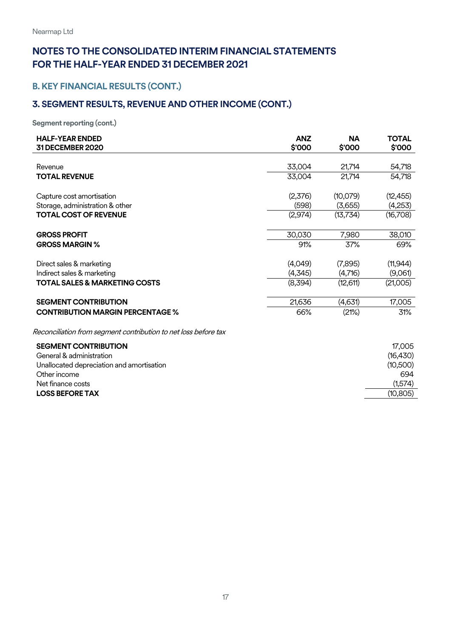## **B.KEY FINANCIAL RESULTS (CONT.)**

## **3. SEGMENT RESULTS, REVENUE AND OTHER INCOME (CONT.)**

**Segment reporting (cont.)**

| <b>HALF-YEAR ENDED</b>                                          | <b>ANZ</b> | <b>NA</b> | <b>TOTAL</b> |
|-----------------------------------------------------------------|------------|-----------|--------------|
| 31 DECEMBER 2020                                                | \$'000     | \$'000    | \$'000       |
|                                                                 |            |           |              |
| Revenue                                                         | 33,004     | 21,714    | 54,718       |
| <b>TOTAL REVENUE</b>                                            | 33,004     | 21,714    | 54,718       |
|                                                                 |            |           |              |
| Capture cost amortisation                                       | (2,376)    | (10,079)  | (12, 455)    |
| Storage, administration & other                                 | (598)      | (3,655)   | (4,253)      |
| <b>TOTAL COST OF REVENUE</b>                                    | (2,974)    | (13,734)  | (16,708)     |
|                                                                 |            |           |              |
| <b>GROSS PROFIT</b>                                             | 30,030     | 7,980     | 38,010       |
| <b>GROSS MARGIN %</b>                                           | 91%        | 37%       | 69%          |
|                                                                 |            |           |              |
| Direct sales & marketing                                        | (4,049)    | (7,895)   | (11, 944)    |
| Indirect sales & marketing                                      | (4,345)    | (4,716)   | (9,061)      |
| <b>TOTAL SALES &amp; MARKETING COSTS</b>                        | (8,394)    | (12,611)  | (21,005)     |
|                                                                 |            |           |              |
| <b>SEGMENT CONTRIBUTION</b>                                     | 21,636     | (4,631)   | 17,005       |
| <b>CONTRIBUTION MARGIN PERCENTAGE %</b>                         | 66%        | (21%)     | 31%          |
|                                                                 |            |           |              |
| Reconciliation from segment contribution to net loss before tax |            |           |              |
| <b>SEGMENT CONTRIBUTION</b>                                     |            |           | 17,005       |
|                                                                 |            |           |              |

General & administration (16,430)<br>Unallocated depreciation and amortisation (19,500) Unallocated depreciation and amortisation Other income 694 Net finance costs (1,574) **LOSS BEFORE TAX** (10,805)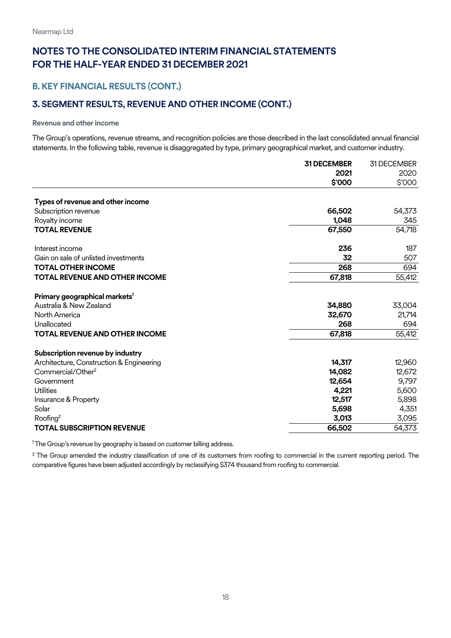## **B.KEY FINANCIAL RESULTS (CONT.)**

## **3. SEGMENT RESULTS, REVENUE AND OTHER INCOME (CONT.)**

#### **Revenue and other income**

The Group's operations, revenue streams, and recognition policies are those described in the last consolidated annual financial statements. In the following table, revenue is disaggregated by type, primary geographical market, and customer industry.

|                                           | <b>31 DECEMBER</b> | 31 DECEMBER |
|-------------------------------------------|--------------------|-------------|
|                                           | 2021               | 2020        |
|                                           | \$'000             | \$'000      |
| Types of revenue and other income         |                    |             |
| Subscription revenue                      | 66,502             | 54,373      |
| Royalty income                            | 1,048              | 345         |
| <b>TOTAL REVENUE</b>                      | 67,550             | 54,718      |
| Interest income                           | 236                | 187         |
| Gain on sale of unlisted investments      | 32                 | 507         |
| <b>TOTAL OTHER INCOME</b>                 | 268                | 694         |
| <b>TOTAL REVENUE AND OTHER INCOME</b>     | 67,818             | 55,412      |
| Primary geographical markets <sup>1</sup> |                    |             |
| Australia & New Zealand                   | 34,880             | 33,004      |
| North America                             | 32,670             | 21,714      |
| Unallocated                               | 268                | 694         |
| <b>TOTAL REVENUE AND OTHER INCOME</b>     | 67,818             | 55,412      |
| Subscription revenue by industry          |                    |             |
| Architecture, Construction & Engineering  | 14,317             | 12,960      |
| Commercial/Other <sup>2</sup>             | 14,082             | 12,672      |
| Government                                | 12,654             | 9,797       |
| <b>Utilities</b>                          | 4,221              | 5,600       |
| Insurance & Property                      | 12,517             | 5,898       |
| Solar                                     | 5,698              | 4,351       |
| Roofing <sup>2</sup>                      | 3,013              | 3,095       |
| <b>TOTAL SUBSCRIPTION REVENUE</b>         | 66,502             | 54,373      |

<sup>1</sup> The Group's revenue by geography is based on customer billing address.

<sup>2</sup> The Group amended the industry classification of one of its customers from roofing to commercial in the current reporting period. The comparative figures have been adjusted accordingly by reclassifying \$374 thousand from roofing to commercial.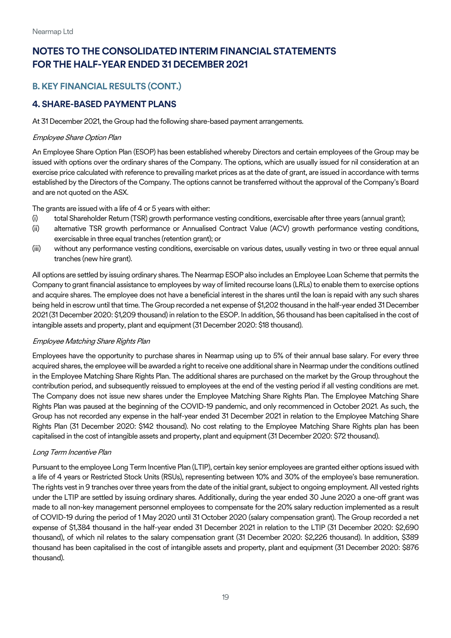## **B.KEY FINANCIAL RESULTS (CONT.)**

#### <span id="page-18-0"></span>**4. SHARE-BASED PAYMENT PLANS**

At 31 December 2021, the Group had the following share-based payment arrangements.

#### Employee Share Option Plan

An Employee Share Option Plan (ESOP) has been established whereby Directors and certain employees of the Group may be issued with options over the ordinary shares of the Company. The options, which are usually issued for nil consideration at an exercise price calculated with reference to prevailing market prices as at the date of grant, are issued in accordance with terms established by the Directors of the Company. The options cannot be transferred without the approval of the Company's Board and are not quoted on the ASX.

The grants are issued with a life of 4 or 5 years with either:

- (i) total Shareholder Return (TSR) growth performance vesting conditions, exercisable after three years (annual grant);
- (ii) alternative TSR growth performance or Annualised Contract Value (ACV) growth performance vesting conditions, exercisable in three equal tranches (retention grant); or
- (iii) without any performance vesting conditions, exercisable on various dates, usually vesting in two or three equal annual tranches (new hire grant).

All options are settled by issuing ordinary shares. The Nearmap ESOP also includes an Employee Loan Scheme that permits the Company to grant financial assistance to employees by way of limited recourse loans (LRLs)to enable them to exercise options and acquire shares. The employee does not have a beneficial interest in the shares until the loan is repaid with any such shares being held in escrow until that time. The Group recorded a net expense of \$1,202 thousand in the half-year ended 31 December 2021(31 December 2020: \$1,209 thousand) in relation to the ESOP. In addition, \$6 thousand has been capitalised in the cost of intangible assets and property, plant and equipment (31 December 2020: \$18 thousand).

#### Employee Matching Share Rights Plan

Employees have the opportunity to purchase shares in Nearmap using up to 5% of their annual base salary. For every three acquired shares, the employee will be awarded a right to receive one additional share in Nearmap under the conditions outlined in the Employee Matching Share Rights Plan. The additional shares are purchased on the market by the Group throughout the contribution period, and subsequently reissued to employees at the end of the vesting period if all vesting conditions are met. The Company does not issue new shares under the Employee Matching Share Rights Plan. The Employee Matching Share Rights Plan was paused at the beginning of the COVID-19 pandemic, and only recommenced in October 2021. As such, the Group has not recorded any expense in the half-year ended 31 December 2021 in relation to the Employee Matching Share Rights Plan (31 December 2020: \$142 thousand). No cost relating to the Employee Matching Share Rights plan has been capitalised in the cost of intangible assets and property, plant and equipment (31 December 2020: \$72 thousand).

#### Long Term Incentive Plan

Pursuant to the employee Long Term Incentive Plan (LTIP), certain key senior employees are granted either options issued with a life of 4 years or Restricted Stock Units (RSUs), representing between 10% and 30% of the employee's base remuneration. The rights vest in 9 tranches over three years from the date of the initial grant, subject to ongoing employment. All vested rights under the LTIP are settled by issuing ordinary shares. Additionally, during the year ended 30 June 2020 a one-off grant was made to all non-key management personnel employees to compensate for the 20% salary reduction implemented as a result of COVID-19 during the period of 1 May 2020 until 31 October 2020 (salary compensation grant). The Group recorded a net expense of \$1,384 thousand in the half-year ended 31 December 2021 in relation to the LTIP (31 December 2020: \$2,690 thousand), of which nil relates to the salary compensation grant (31 December 2020: \$2,226 thousand). In addition, \$389 thousand has been capitalised in the cost of intangible assets and property, plant and equipment (31 December 2020: \$876 thousand).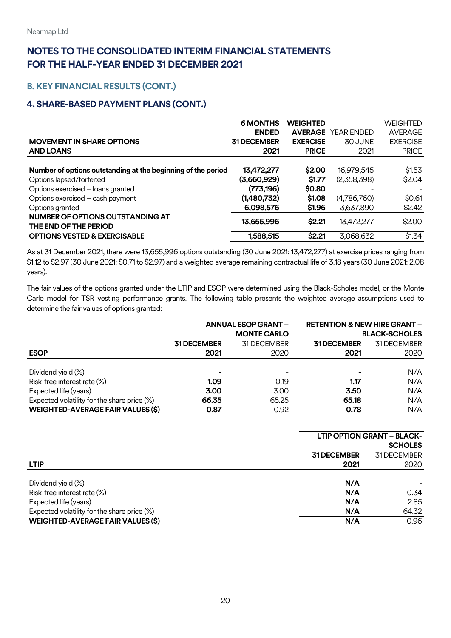### **B.KEY FINANCIAL RESULTS (CONT.)**

## **4. SHARE-BASED PAYMENT PLANS (CONT.)**

|                                                                  | <b>6 MONTHS</b>    | <b>WEIGHTED</b> |                           | <b>WEIGHTED</b> |
|------------------------------------------------------------------|--------------------|-----------------|---------------------------|-----------------|
|                                                                  | <b>ENDED</b>       |                 | <b>AVERAGE YEAR ENDED</b> | <b>AVERAGE</b>  |
| <b>MOVEMENT IN SHARE OPTIONS</b>                                 | <b>31 DECEMBER</b> | <b>EXERCISE</b> | 30 JUNE                   | <b>EXERCISE</b> |
| <b>AND LOANS</b>                                                 | 2021               | <b>PRICE</b>    | 2021                      | <b>PRICE</b>    |
|                                                                  |                    |                 |                           |                 |
| Number of options outstanding at the beginning of the period     | 13,472,277         | \$2.00          | 16,979,545                | \$1.53          |
| Options lapsed/forfeited                                         | (3,660,929)        | \$1.77          | (2,358,398)               | \$2.04          |
| Options exercised - loans granted                                | (773, 196)         | \$0.80          |                           |                 |
| Options exercised - cash payment                                 | (1,480,732)        | \$1.08          | (4,786,760)               | \$0.61          |
| Options granted                                                  | 6,098,576          | \$1.96          | 3,637,890                 | \$2.42          |
| <b>NUMBER OF OPTIONS OUTSTANDING AT</b><br>THE END OF THE PERIOD | 13,655,996         | \$2.21          | 13,472,277                | \$2.00          |
| <b>OPTIONS VESTED &amp; EXERCISABLE</b>                          | 1,588,515          | \$2.21          | 3,068,632                 | \$1.34          |

As at 31 December 2021, there were 13,655,996 options outstanding (30 June 2021: 13,472,277) at exercise prices ranging from \$1.12 to \$2.97 (30 June 2021: \$0.71to \$2.97) and a weighted average remaining contractual life of 3.18 years (30 June 2021: 2.08 years).

The fair values of the options granted under the LTIP and ESOP were determined using the Black-Scholes model, or the Monte Carlo model for TSR vesting performance grants. The following table presents the weighted average assumptions used to determine the fair values of options granted:

|                                             |             | <b>ANNUAL ESOP GRANT -</b> | <b>RETENTION &amp; NEW HIRE GRANT -</b> |                      |
|---------------------------------------------|-------------|----------------------------|-----------------------------------------|----------------------|
|                                             |             | <b>MONTE CARLO</b>         |                                         | <b>BLACK-SCHOLES</b> |
|                                             | 31 DECEMBER | 31 DECEMBER                | <b>31 DECEMBER</b>                      | 31 DECEMBER          |
| <b>ESOP</b>                                 | 2021        | 2020                       | 2021                                    | 2020                 |
|                                             |             |                            |                                         |                      |
| Dividend yield (%)                          |             |                            | ۰                                       | N/A                  |
| Risk-free interest rate (%)                 | 1.09        | 0.19                       | 1.17                                    | N/A                  |
| Expected life (years)                       | 3.00        | 3.00                       | 3.50                                    | N/A                  |
| Expected volatility for the share price (%) | 66.35       | 65.25                      | 65.18                                   | N/A                  |
| <b>WEIGHTED-AVERAGE FAIR VALUES (\$)</b>    | 0.87        | 0.92                       | 0.78                                    | N/A                  |

|                                                                      | <b>LTIP OPTION GRANT - BLACK-</b><br><b>SCHOLES</b> |                     |  |  |
|----------------------------------------------------------------------|-----------------------------------------------------|---------------------|--|--|
| <b>LTIP</b>                                                          | <b>31 DECEMBER</b><br>2021                          | 31 DECEMBER<br>2020 |  |  |
| Dividend yield (%)<br>Risk-free interest rate (%)                    | N/A<br>N/A                                          | 0.34                |  |  |
| Expected life (years)<br>Expected volatility for the share price (%) | N/A<br>N/A                                          | 2.85<br>64.32       |  |  |
| <b>WEIGHTED-AVERAGE FAIR VALUES (\$)</b>                             | N/A                                                 | 0.96                |  |  |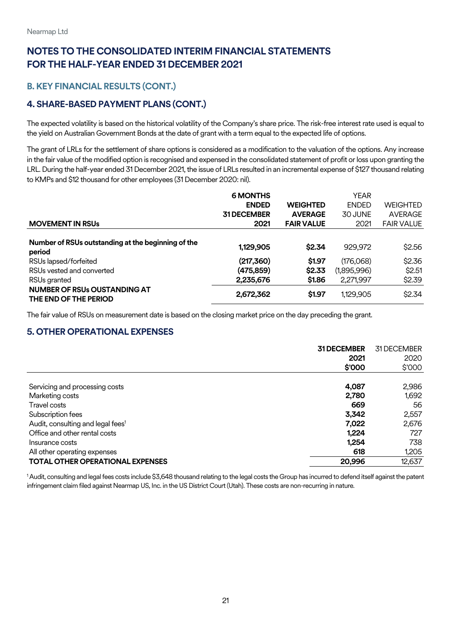## **B. KEY FINANCIAL RESULTS (CONT.)**

## **4. SHARE-BASED PAYMENT PLANS (CONT.)**

The expected volatility is based on the historical volatility of the Company's share price. The risk-free interest rate used is equal to the yield on Australian Government Bonds at the date of grant with a term equal to the expected life of options.

The grant of LRLs for the settlement of share options is considered as a modification to the valuation of the options. Any increase in the fair value of the modified option is recognised and expensed in the consolidated statement of profit or loss upon granting the LRL. During the half-year ended 31 December 2021, the issue of LRLs resulted in an incremental expense of \$127 thousand relating to KMPs and \$12 thousand for other employees (31 December 2020: nil).

|                                                    | <b>6 MONTHS</b>    |                   | <b>YEAR</b>  |                   |
|----------------------------------------------------|--------------------|-------------------|--------------|-------------------|
|                                                    | <b>ENDED</b>       | <b>WEIGHTED</b>   | <b>ENDED</b> | <b>WEIGHTED</b>   |
|                                                    | <b>31 DECEMBER</b> | <b>AVERAGE</b>    | 30 JUNE      | <b>AVERAGE</b>    |
| <b>MOVEMENT IN RSUS</b>                            | 2021               | <b>FAIR VALUE</b> | 2021         | <b>FAIR VALUE</b> |
|                                                    |                    |                   |              |                   |
| Number of RSUs outstanding at the beginning of the | 1,129,905          | \$2.34            | 929,972      | \$2.56            |
| period                                             |                    |                   |              |                   |
| RSUs lapsed/forfeited                              | (217, 360)         | \$1.97            | (176,068)    | \$2.36            |
| RSUs vested and converted                          | (475, 859)         | \$2.33            | (1,895,996)  | \$2.51            |
| RSUs granted                                       | 2,235,676          | \$1.86            | 2,271,997    | \$2.39            |
| <b>NUMBER OF RSUs OUSTANDING AT</b>                | 2,672,362          | \$1.97            | 1,129,905    | \$2.34            |
| THE END OF THE PERIOD                              |                    |                   |              |                   |

The fair value of RSUs on measurement date is based on the closing market price on the day preceding the grant.

## <span id="page-20-0"></span>**5. OTHER OPERATIONAL EXPENSES**

|                                               | <b>31 DECEMBER</b> | 31 DECEMBER |
|-----------------------------------------------|--------------------|-------------|
|                                               | 2021               | 2020        |
|                                               | \$000              | \$'000      |
|                                               |                    |             |
| Servicing and processing costs                | 4,087              | 2,986       |
| Marketing costs                               | 2,780              | 1,692       |
| Travel costs                                  | 669                | 56          |
| Subscription fees                             | 3,342              | 2,557       |
| Audit, consulting and legal fees <sup>1</sup> | 7,022              | 2,676       |
| Office and other rental costs                 | 1,224              | 727         |
| Insurance costs                               | 1,254              | 738         |
| All other operating expenses                  | 618                | 1,205       |
| <b>TOTAL OTHER OPERATIONAL EXPENSES</b>       | 20,996             | 12,637      |

<sup>1</sup> Audit, consulting and legal fees costs include \$3,648 thousand relating to the legal costs the Group has incurred to defend itself against the patent infringement claim filed against Nearmap US, Inc. in the US District Court (Utah). These costs are non-recurring in nature.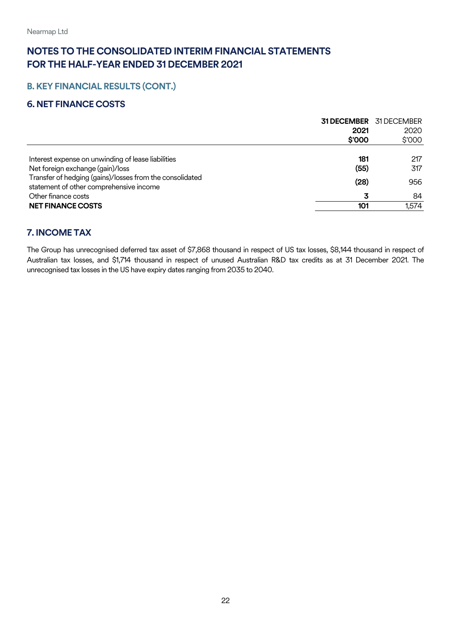## **B.KEY FINANCIAL RESULTS (CONT.)**

#### <span id="page-21-0"></span>**6. NET FINANCE COSTS**

|                                                                                                             | <b>31 DECEMBER</b> 31 DECEMBER |
|-------------------------------------------------------------------------------------------------------------|--------------------------------|
| 2021                                                                                                        | 2020                           |
| \$'000                                                                                                      | \$'000                         |
|                                                                                                             |                                |
| Interest expense on unwinding of lease liabilities<br>181                                                   | 217                            |
| Net foreign exchange (gain)/loss<br>(55)                                                                    | 317                            |
| Transfer of hedging (gains)/losses from the consolidated<br>(28)<br>statement of other comprehensive income | 956                            |
| Other finance costs<br>3                                                                                    | 84                             |
| <b>NET FINANCE COSTS</b><br>101                                                                             | 1,574                          |

#### <span id="page-21-1"></span>**7. INCOME TAX**

The Group has unrecognised deferred tax asset of \$7,868 thousand in respect of US tax losses, \$8,144 thousand in respect of Australian tax losses, and \$1,714 thousand in respect of unused Australian R&D tax credits as at 31 December 2021. The unrecognised tax losses in the US have expiry dates ranging from 2035 to 2040.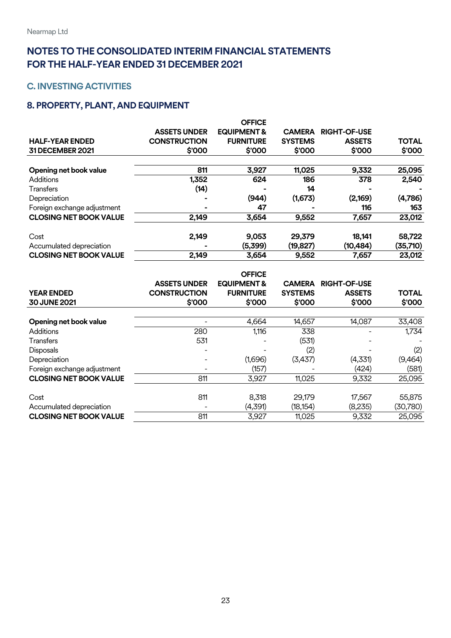### <span id="page-22-0"></span>**C. INVESTING ACTIVITIES**

## <span id="page-22-1"></span>**8. PROPERTY, PLANT, AND EQUIPMENT**

| <b>HALF-YEAR ENDED</b><br>31 DECEMBER 2021 | <b>ASSETS UNDER</b><br><b>CONSTRUCTION</b><br>\$'000 | <b>OFFICE</b><br><b>EQUIPMENT &amp;</b><br><b>FURNITURE</b><br>\$'000 | <b>CAMERA</b><br><b>SYSTEMS</b><br>\$'000 | <b>RIGHT-OF-USE</b><br><b>ASSETS</b><br>\$'000 | <b>TOTAL</b><br>\$'000 |
|--------------------------------------------|------------------------------------------------------|-----------------------------------------------------------------------|-------------------------------------------|------------------------------------------------|------------------------|
| Opening net book value                     | 811                                                  | 3,927                                                                 | 11,025                                    | 9,332                                          | 25,095                 |
| Additions                                  | 1,352                                                | 624                                                                   | 186                                       | 378                                            | 2,540                  |
| <b>Transfers</b>                           | (14)                                                 |                                                                       | 14                                        |                                                |                        |
| Depreciation                               |                                                      | (944)                                                                 | (1,673)                                   | (2,169)                                        | (4,786)                |
| Foreign exchange adjustment                | ۰                                                    | 47                                                                    |                                           | 116                                            | 163                    |
| <b>CLOSING NET BOOK VALUE</b>              | 2,149                                                | 3,654                                                                 | 9,552                                     | 7,657                                          | 23,012                 |
| Cost<br>Accumulated depreciation           | 2,149<br>-                                           | 9,053<br>(5,399)                                                      | 29,379<br>(19, 827)                       | 18,141<br>(10, 484)                            | 58,722<br>(35,710)     |
| <b>CLOSING NET BOOK VALUE</b>              | 2,149                                                | 3,654                                                                 | 9,552                                     | 7,657                                          | 23,012                 |

|                               |                     | <b>OFFICE</b>          |                |                          |              |
|-------------------------------|---------------------|------------------------|----------------|--------------------------|--------------|
|                               | <b>ASSETS UNDER</b> | <b>EQUIPMENT &amp;</b> | <b>CAMERA</b>  | <b>RIGHT-OF-USE</b>      |              |
| <b>YEAR ENDED</b>             | <b>CONSTRUCTION</b> | <b>FURNITURE</b>       | <b>SYSTEMS</b> | <b>ASSETS</b>            | <b>TOTAL</b> |
| 30 JUNE 2021                  | \$000               | \$'000                 | \$'000         | \$'000                   | \$'000       |
| Opening net book value        |                     | 4,664                  | 14,657         | 14,087                   | 33,408       |
| Additions                     | 280                 | 1,116                  | 338            | $\overline{\phantom{0}}$ | 1,734        |
| <b>Transfers</b>              | 531                 |                        | (531)          |                          |              |
| <b>Disposals</b>              |                     |                        | (2)            |                          | (2)          |
| Depreciation                  |                     | (1,696)                | (3,437)        | (4,331)                  | (9,464)      |
| Foreign exchange adjustment   |                     | (157)                  |                | (424)                    | (581)        |
| <b>CLOSING NET BOOK VALUE</b> | 811                 | 3,927                  | 11,025         | 9,332                    | 25,095       |
| Cost                          | 811                 | 8,318                  | 29,179         | 17,567                   | 55,875       |
| Accumulated depreciation      |                     | (4,391)                | (18, 154)      | (8,235)                  | (30, 780)    |
| <b>CLOSING NET BOOK VALUE</b> | 811                 | 3,927                  | 11,025         | 9,332                    | 25,095       |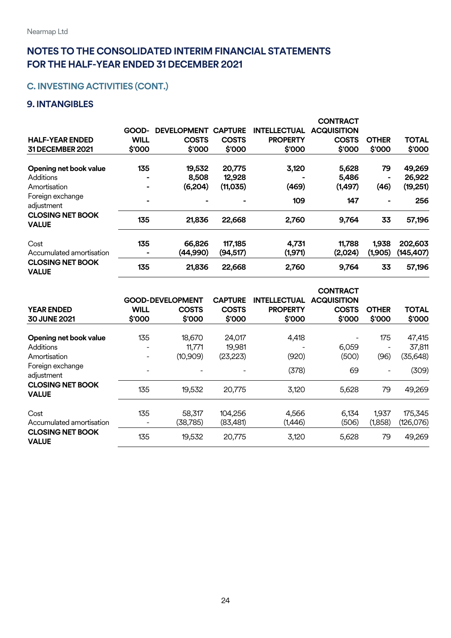## **C. INVESTING ACTIVITIES (CONT.)**

## <span id="page-23-0"></span>**9. INTANGIBLES**

|                                         |             |                    |                |                     | <b>CONTRACT</b>    |              |              |
|-----------------------------------------|-------------|--------------------|----------------|---------------------|--------------------|--------------|--------------|
|                                         | GOOD-       | <b>DEVELOPMENT</b> | <b>CAPTURE</b> | <b>INTELLECTUAL</b> | <b>ACQUISITION</b> |              |              |
| <b>HALF-YEAR ENDED</b>                  | <b>WILL</b> | <b>COSTS</b>       | <b>COSTS</b>   | <b>PROPERTY</b>     | <b>COSTS</b>       | <b>OTHER</b> | <b>TOTAL</b> |
| 31 DECEMBER 2021                        | \$'000      | \$'000             | \$'000         | \$'000              | \$'000             | \$'000       | \$'000       |
| Opening net book value                  | 135         | 19,532             | 20,775         | 3,120               | 5,628              | 79           | 49,269       |
| Additions                               |             | 8,508              | 12,928         |                     | 5,486              |              | 26,922       |
| Amortisation                            | ۰           | (6, 204)           | (11, 035)      | (469)               | (1,497)            | (46)         | (19, 251)    |
| Foreign exchange<br>adjustment          | ۰           |                    |                | 109                 | 147                |              | 256          |
| <b>CLOSING NET BOOK</b><br><b>VALUE</b> | 135         | 21,836             | 22,668         | 2,760               | 9,764              | 33           | 57,196       |
| Cost                                    | 135         | 66,826             | 117,185        | 4,731               | 11,788             | 1,938        | 202,603      |
| Accumulated amortisation                | ۰           | (44,990)           | (94, 517)      | (1,971)             | (2,024)            | (1,905)      | (145,407)    |
| <b>CLOSING NET BOOK</b><br><b>VALUE</b> | 135         | 21,836             | 22,668         | 2,760               | 9,764              | 33           | 57,196       |

|                                         | <b>CONTRACT</b>                 |                         |                     |                     |                    |                  |                      |  |
|-----------------------------------------|---------------------------------|-------------------------|---------------------|---------------------|--------------------|------------------|----------------------|--|
|                                         |                                 | <b>GOOD-DEVELOPMENT</b> | <b>CAPTURE</b>      | <b>INTELLECTUAL</b> | <b>ACQUISITION</b> |                  |                      |  |
| <b>YEAR ENDED</b>                       | <b>WILL</b>                     | <b>COSTS</b>            | <b>COSTS</b>        | <b>PROPERTY</b>     | <b>COSTS</b>       | <b>OTHER</b>     | <b>TOTAL</b>         |  |
| 30 JUNE 2021                            | \$'000                          | \$'000                  | \$'000              | \$'000              | \$'000             | \$'000           | \$'000               |  |
| Opening net book value                  | 135                             | 18,670                  | 24,017              | 4,418               |                    | 175              | 47,415               |  |
| <b>Additions</b>                        | -                               | 11,771                  | 19,981              | -                   | 6,059              |                  | 37,811               |  |
| Amortisation                            | $\overline{\phantom{a}}$        | (10,909)                | (23, 223)           | (920)               | (500)              | (96)             | (35, 648)            |  |
| Foreign exchange<br>adjustment          | $\overline{\phantom{0}}$        |                         |                     | (378)               | 69                 |                  | (309)                |  |
| <b>CLOSING NET BOOK</b><br><b>VALUE</b> | 135                             | 19,532                  | 20,775              | 3,120               | 5,628              | 79               | 49,269               |  |
| Cost<br>Accumulated amortisation        | 135<br>$\overline{\phantom{a}}$ | 58,317<br>(38, 785)     | 104,256<br>(83,481) | 4,566<br>(1,446)    | 6,134<br>(506)     | 1,937<br>(1,858) | 175,345<br>(126,076) |  |
| <b>CLOSING NET BOOK</b><br><b>VALUE</b> | 135                             | 19,532                  | 20,775              | 3,120               | 5,628              | 79               | 49,269               |  |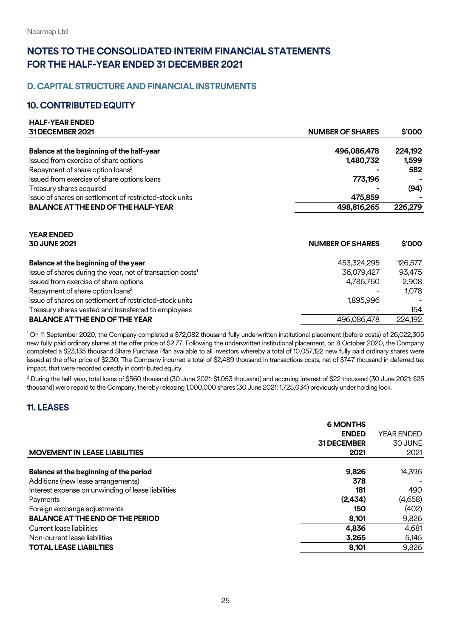#### <span id="page-24-0"></span>**D. CAPITAL STRUCTURE AND FINANCIAL INSTRUMENTS**

#### <span id="page-24-1"></span>**10. CONTRIBUTED EQUITY**

**HALF-YEAR ENDED** 

**YEAR ENDED** 

| <b>MALF-TEAR ENDED</b>                                  |                         |         |
|---------------------------------------------------------|-------------------------|---------|
| 31 DECEMBER 2021                                        | <b>NUMBER OF SHARES</b> | \$'000  |
|                                                         |                         |         |
| Balance at the beginning of the half-year               | 496,086,478             | 224,192 |
| Issued from exercise of share options                   | 1,480,732               | 1,599   |
| Repayment of share option loans <sup>2</sup>            |                         | 582     |
| Issued from exercise of share options loans             | 773.196                 |         |
| Treasury shares acquired                                |                         | (94)    |
| Issue of shares on settlement of restricted-stock units | 475,859                 |         |
| <b>BALANCE AT THE END OF THE HALF-YEAR</b>              | 498,816,265             | 226,279 |
|                                                         |                         |         |

| I CAK CINDED                                                           |                         |         |
|------------------------------------------------------------------------|-------------------------|---------|
| <b>30 JUNE 2021</b>                                                    | <b>NUMBER OF SHARES</b> | \$000   |
|                                                                        |                         |         |
| Balance at the beginning of the year                                   | 453,324,295             | 126,577 |
| Issue of shares during the year, net of transaction costs <sup>1</sup> | 36,079,427              | 93,475  |
| Issued from exercise of share options                                  | 4,786,760               | 2,908   |
| Repayment of share option loans <sup>2</sup>                           |                         | 1.078   |
| Issue of shares on settlement of restricted-stock units                | 1,895,996               |         |
| Treasury shares vested and transferred to employees                    |                         | 154     |
| <b>BALANCE AT THE END OF THE YEAR</b>                                  | 496,086,478             | 224,192 |
|                                                                        |                         |         |

<sup>1</sup> On 11 September 2020, the Company completed a \$72,082 thousand fully underwritten institutional placement (before costs) of 26,022,305 new fully paid ordinary shares at the offer price of \$2.77. Following the underwritten institutional placement, on 8 October 2020, the Company completed a \$23,135 thousand Share Purchase Plan available to all investors whereby a total of 10,057,122 new fully paid ordinary shares were issued at the offer price of \$2.30. The Company incurred a total of \$2,489 thousand in transactions costs, net of \$747 thousand in deferred tax impact, that were recorded directly in contributed equity.

<sup>2</sup> During the half-year, total loans of \$560 thousand (30 June 2021: \$1,053 thousand) and accruing interest of \$22 thousand (30 June 2021: \$25 thousand) were repaid to the Company, thereby releasing 1,000,000 shares (30 June 2021: 1,725,034) previously under holding lock.

#### <span id="page-24-2"></span>**11. LEASES**

|                                                    | <b>6 MONTHS</b>    |                   |
|----------------------------------------------------|--------------------|-------------------|
|                                                    | <b>ENDED</b>       | <b>YEAR ENDED</b> |
|                                                    | <b>31 DECEMBER</b> | 30 JUNE           |
| <b>MOVEMENT IN LEASE LIABILITIES</b>               | 2021               | 2021              |
|                                                    |                    |                   |
| Balance at the beginning of the period             | 9,826              | 14,396            |
| Additions (new lease arrangements)                 | 378                |                   |
| Interest expense on unwinding of lease liabilities | 181                | 490               |
| Payments                                           | (2,434)            | (4,658)           |
| Foreign exchange adjustments                       | 150                | (402)             |
| <b>BALANCE AT THE END OF THE PERIOD</b>            | 8,101              | 9,826             |
| Current lease liabilities                          | 4,836              | 4,681             |
| Non-current lease liabilities                      | 3,265              | 5,145             |
| <b>TOTAL LEASE LIABILTIES</b>                      | 8,101              | 9,826             |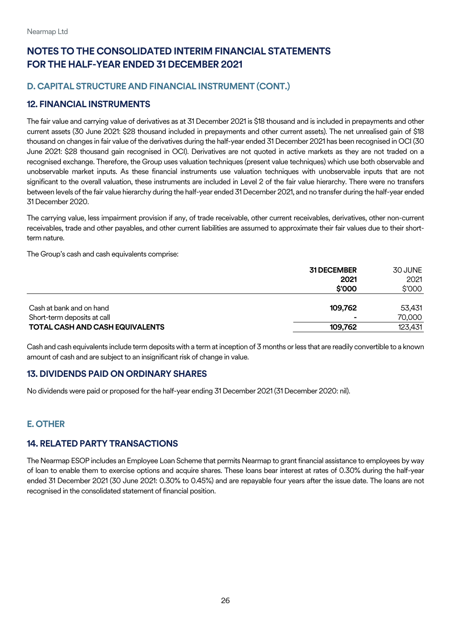#### **D. CAPITAL STRUCTURE AND FINANCIAL INSTRUMENT (CONT.)**

#### <span id="page-25-0"></span>**12. FINANCIAL INSTRUMENTS**

The fair value and carrying value of derivatives as at 31 December 2021 is \$18 thousand and is included in prepayments and other current assets (30 June 2021: \$28 thousand included in prepayments and other current assets). The net unrealised gain of \$18 thousand on changes in fair value of the derivatives during the half-year ended 31 December 2021 has been recognised in OCI (30 June 2021: \$28 thousand gain recognised in OCI). Derivatives are not quoted in active markets as they are not traded on a recognised exchange. Therefore, the Group uses valuation techniques (present value techniques) which use both observable and unobservable market inputs. As these financial instruments use valuation techniques with unobservable inputs that are not significant to the overall valuation, these instruments are included in Level 2 of the fair value hierarchy. There were no transfers between levels of the fair value hierarchy during the half-year ended 31 December 2021, and no transfer during the half-year ended 31 December 2020.

The carrying value, less impairment provision if any, of trade receivable, other current receivables, derivatives, other non-current receivables, trade and other payables, and other current liabilities are assumed to approximate their fair values due to their shortterm nature.

The Group's cash and cash equivalents comprise:

|                                                         | <b>31 DECEMBER</b><br>2021<br>\$'000 | 30 JUNE<br>2021<br>\$'000 |
|---------------------------------------------------------|--------------------------------------|---------------------------|
| Cash at bank and on hand<br>Short-term deposits at call | 109.762                              | 53.431<br>70,000          |
| TOTAL CASH AND CASH EQUIVALENTS                         | 109.762                              | 123,431                   |

Cash and cash equivalents include term deposits with a term at inception of 3 months or less that are readily convertible to a known amount of cash and are subject to an insignificant risk of change in value.

#### <span id="page-25-1"></span>**13. DIVIDENDS PAID ON ORDINARY SHARES**

No dividends were paid or proposed for the half-year ending 31 December 2021 (31 December 2020: nil).

#### <span id="page-25-2"></span>**E. OTHER**

#### <span id="page-25-3"></span>**14. RELATED PARTY TRANSACTIONS**

The Nearmap ESOP includes an Employee Loan Scheme that permits Nearmap to grant financial assistance to employees by way of loan to enable them to exercise options and acquire shares. These loans bear interest at rates of 0.30% during the half-year ended 31 December 2021 (30 June 2021: 0.30% to 0.45%) and are repayable four years after the issue date. The loans are not recognised in the consolidated statement of financial position.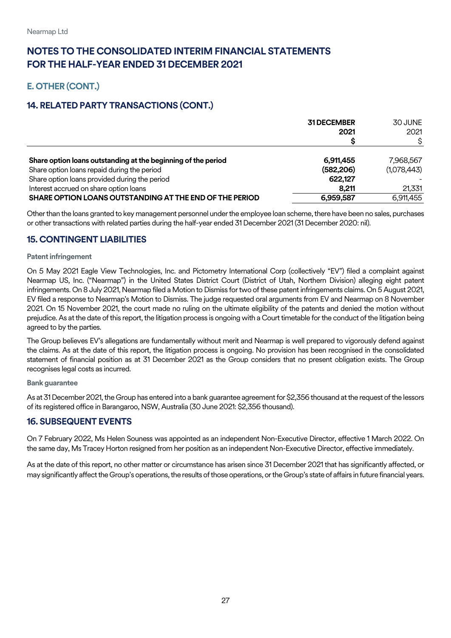## **E. OTHER(CONT.)**

## **14. RELATED PARTY TRANSACTIONS (CONT.)**

|                                                               | <b>31 DECEMBER</b><br>2021 | 30 JUNE<br>2021 |
|---------------------------------------------------------------|----------------------------|-----------------|
|                                                               |                            |                 |
| Share option loans outstanding at the beginning of the period | 6,911,455                  | 7,968,567       |
| Share option loans repaid during the period                   | (582, 206)                 | (1,078,443)     |
| Share option loans provided during the period                 | 622,127                    |                 |
| Interest accrued on share option loans                        | 8.211                      | 21,331          |
| SHARE OPTION LOANS OUTSTANDING AT THE END OF THE PERIOD       | 6,959,587                  | 6,911,455       |

Other than the loans granted to key management personnel under the employee loan scheme, there have been no sales, purchases or other transactions with related parties during the half-year ended 31 December 2021 (31 December 2020: nil).

#### <span id="page-26-0"></span>**15. CONTINGENT LIABILITIES**

#### **Patent infringement**

On 5 May 2021 Eagle View Technologies, Inc. and Pictometry International Corp (collectively "EV") filed a complaint against Nearmap US, Inc. ("Nearmap") in the United States District Court (District of Utah, Northern Division) alleging eight patent infringements. On 8 July 2021, Nearmap filed a Motion to Dismiss for two of these patent infringements claims. On 5 August 2021, EV filed a response to Nearmap's Motion to Dismiss. The judge requested oral arguments from EV and Nearmap on 8 November 2021. On 15 November 2021, the court made no ruling on the ultimate eligibility of the patents and denied the motion without prejudice. As at the date of this report, the litigation process is ongoing with a Court timetable for the conduct of the litigation being agreed to by the parties.

The Group believes EV's allegations are fundamentally without merit and Nearmap is well prepared to vigorously defend against the claims. As at the date of this report, the litigation process is ongoing. No provision has been recognised in the consolidated statement of financial position as at 31 December 2021 as the Group considers that no present obligation exists. The Group recognises legal costs as incurred.

#### **Bank guarantee**

As at 31 December 2021, the Group has entered into a bank guarantee agreement for \$2,356 thousand at the request of the lessors of its registered office in Barangaroo, NSW, Australia (30 June 2021: \$2,356 thousand).

#### <span id="page-26-1"></span>**16. SUBSEQUENT EVENTS**

On 7 February 2022, Ms Helen Souness was appointed as an independent Non-Executive Director, effective 1 March 2022. On the same day, Ms Tracey Horton resigned from her position as an independent Non-Executive Director, effective immediately.

As at the date of this report, no other matter or circumstance has arisen since 31 December 2021 that has significantly affected, or may significantly affect the Group's operations, the results of those operations, or the Group's state of affairs in futurefinancial years.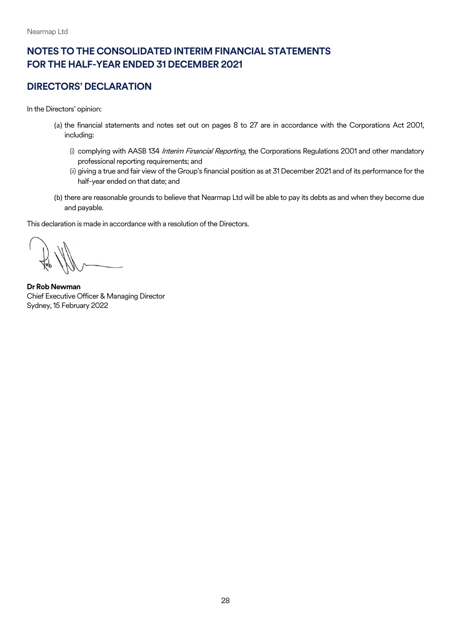## <span id="page-27-0"></span>**DIRECTORS' DECLARATION**

In the Directors' opinion:

- (a) the financial statements and notes set out on pages 8 to 27 are in accordance with the Corporations Act 2001, including:
	- (i) complying with AASB 134 Interim Financial Reporting, the Corporations Regulations 2001 and other mandatory professional reporting requirements; and
	- (ii) giving a true and fair view of the Group's financial position as at 31 December 2021 and of its performance for the half-year ended on that date; and
- (b) there are reasonable grounds to believe that Nearmap Ltd will be able to pay its debts as and when they become due and payable.

This declaration is made in accordance with a resolution of the Directors.

**Dr Rob Newman**  Chief Executive Officer & Managing Director Sydney, 15 February 2022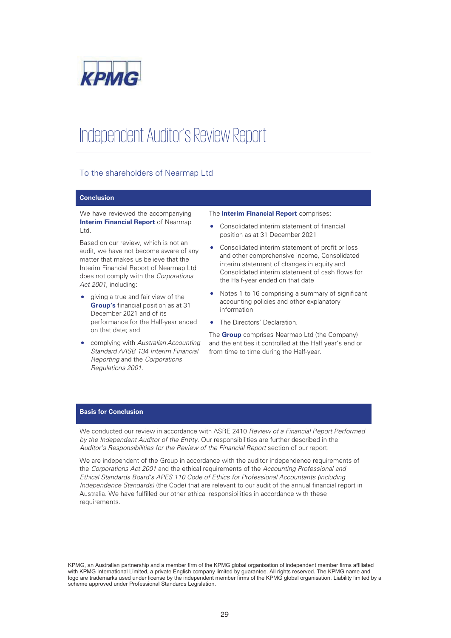

## Independent Auditor's Review Report

#### To the shareholders of Nearmap Ltd

#### Conclusion

We have reviewed the accompanying Interim Financial Report of Nearmap Ltd.

Based on our review, which is not an audit, we have not become aware of any matter that makes us believe that the Interim Financial Report of Nearmap Ltd does not comply with the *Corporations Act 2001*, including:

- giving a true and fair view of the Group's financial position as at 31 December 2021 and of its performance for the Half-year ended on that date; and
- x complying with *Australian Accounting Standard AASB 134 Interim Financial Reporting* and the *Corporations Regulations 2001*.

#### The Interim Financial Report comprises:

- Consolidated interim statement of financial position as at 31 December 2021
- Consolidated interim statement of profit or loss and other comprehensive income, Consolidated interim statement of changes in equity and Consolidated interim statement of cash flows for the Half-year ended on that date
- Notes 1 to 16 comprising a summary of significant accounting policies and other explanatory information
- The Directors' Declaration.

The **Group** comprises Nearmap Ltd (the Company) and the entities it controlled at the Half year's end or from time to time during the Half-year.

#### Basis for Conclusion

We conducted our review in accordance with ASRE 2410 *Review of a Financial Report Performed by the Independent Auditor of the Entity*. Our responsibilities are further described in the *Auditor's Responsibilities for the Review of the Financial Report* section of our report.

We are independent of the Group in accordance with the auditor independence requirements of the *Corporations Act 2001* and the ethical requirements of the *Accounting Professional and Ethical Standards Board's APES 110 Code of Ethics for Professional Accountants (including Independence Standards)* (the Code) that are relevant to our audit of the annual financial report in Australia. We have fulfilled our other ethical responsibilities in accordance with these requirements.

KPMG, an Australian partnership and a member firm of the KPMG global organisation of independent member firms affiliated with KPMG International Limited, a private English company limited by guarantee. All rights reserved. The KPMG name and logo are trademarks used under license by the independent member firms of the KPMG global organisation. Liability limited by a scheme approved under Professional Standards Legislation.